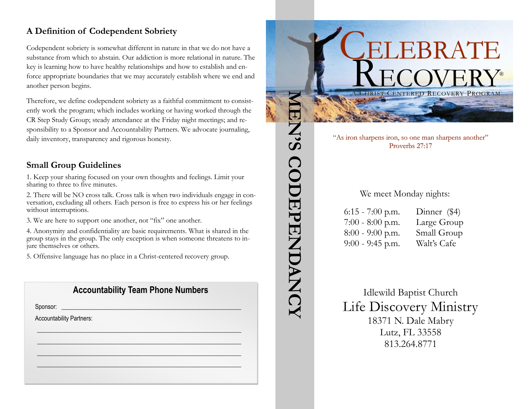# **A Definition of Codependent Sobriety**

Codependent sobriety is somewhat different in nature in that we do not have a substance from which to abstain. Our addiction is more relational in nature. The key is learning how to have healthy relationships and how to establish and enforce appropriate boundaries that we may accurately establish where we end and another person begins.

Therefore, we define codependent sobriety as a faithful commitment to consistently work the program; which includes working or having worked through the CR Step Study Group; steady attendance at the Friday night meetings; and responsibility to a Sponsor and Accountability Partners. We advocate journaling, daily inventory, transparency and rigorous honesty.

#### **Small Group Guidelines**

1. Keep your sharing focused on your own thoughts and feelings. Limit your sharing to three to five minutes.

2. There will be NO cross talk. Cross talk is when two individuals engage in conversation, excluding all others. Each person is free to express his or her feelings without interruptions.

3. We are here to support one another, not "fix" one another.

4. Anonymity and confidentiality are basic requirements. What is shared in the group stays in the group. The only exception is when someone threatens to injure themselves or others.

5. Offensive language has no place in a Christ-centered recovery group.

## **Accountability Team Phone Numbers**

 $\mathscr{L}_\mathscr{L} \mathscr{L}_\mathscr{L} \mathscr{L}_\mathscr{L} \mathscr{L}_\mathscr{L}$  $\frac{1}{2}$  ,  $\frac{1}{2}$  ,  $\frac{1}{2}$  ,  $\frac{1}{2}$  ,  $\frac{1}{2}$  ,  $\frac{1}{2}$  ,  $\frac{1}{2}$  ,  $\frac{1}{2}$  ,  $\frac{1}{2}$  ,  $\frac{1}{2}$ \_\_\_\_\_\_\_\_\_\_\_\_\_\_\_\_\_\_\_\_\_\_\_\_\_\_\_\_\_\_\_\_\_\_\_\_\_\_\_\_\_\_\_\_\_\_\_\_\_\_\_\_\_\_\_\_\_\_\_\_\_\_\_\_\_\_\_ \_\_\_\_\_\_\_\_\_\_\_\_\_\_\_\_\_\_\_\_\_\_\_\_\_\_\_\_\_\_\_\_\_\_\_\_\_\_\_\_\_\_\_\_\_\_\_\_\_\_\_\_\_\_\_\_\_\_\_\_\_\_\_\_\_\_\_

Sponsor: \_\_\_\_\_\_\_\_\_\_\_\_\_\_\_\_\_\_\_\_\_\_\_\_\_\_\_\_\_\_\_\_\_\_\_\_\_\_\_\_\_\_\_\_\_\_\_\_\_\_\_\_\_\_\_\_\_\_\_

Accountability Partners:



6:15 - 7:00 p.m. Dinner (\$4) 7:00 - 8:00 p.m. Large Group 8:00 - 9:00 p.m. Small Group 9:00 - 9:45 p.m. Walt's Cafe

**MEN'S CODEPENDANCY**

ENS CODEPENDANCY

Idlewild Baptist Church Life Discovery Ministry 18371 N. Dale Mabry Lutz, FL 33558 813.264.8771